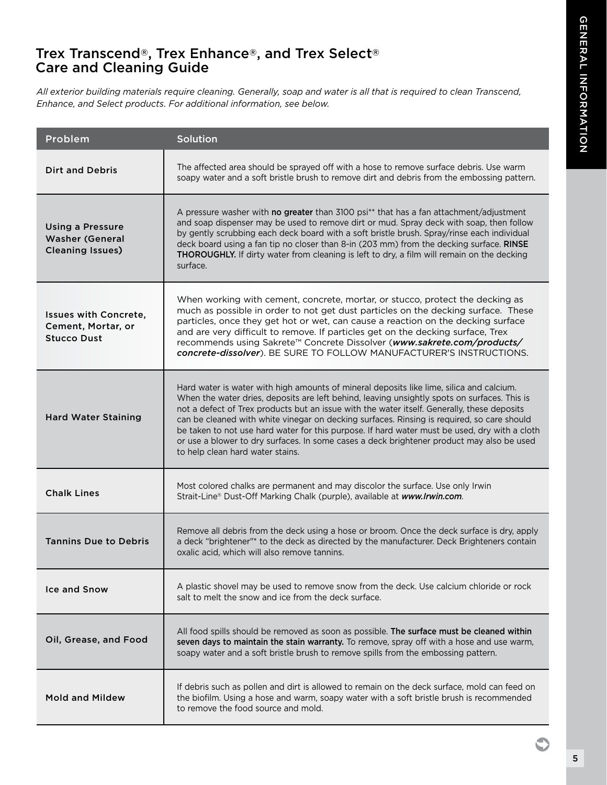## Trex Transcend®, Trex Enhance®, and Trex Select® Care and Cleaning Guide

*All exterior building materials require cleaning. Generally, soap and water is all that is required to clean Transcend, Enhance, and Select products. For additional information, see below.*

| Problem                                                                      | Solution                                                                                                                                                                                                                                                                                                                                                                                                                                                                                                                                                                                                                |
|------------------------------------------------------------------------------|-------------------------------------------------------------------------------------------------------------------------------------------------------------------------------------------------------------------------------------------------------------------------------------------------------------------------------------------------------------------------------------------------------------------------------------------------------------------------------------------------------------------------------------------------------------------------------------------------------------------------|
| <b>Dirt and Debris</b>                                                       | The affected area should be sprayed off with a hose to remove surface debris. Use warm<br>soapy water and a soft bristle brush to remove dirt and debris from the embossing pattern.                                                                                                                                                                                                                                                                                                                                                                                                                                    |
| <b>Using a Pressure</b><br><b>Washer (General</b><br><b>Cleaning Issues)</b> | A pressure washer with <b>no greater</b> than 3100 psi <sup>**</sup> that has a fan attachment/adjustment<br>and soap dispenser may be used to remove dirt or mud. Spray deck with soap, then follow<br>by gently scrubbing each deck board with a soft bristle brush. Spray/rinse each individual<br>deck board using a fan tip no closer than 8-in (203 mm) from the decking surface. RINSE<br>THOROUGHLY. If dirty water from cleaning is left to dry, a film will remain on the decking<br>surface.                                                                                                                 |
| <b>Issues with Concrete.</b><br>Cement, Mortar, or<br><b>Stucco Dust</b>     | When working with cement, concrete, mortar, or stucco, protect the decking as<br>much as possible in order to not get dust particles on the decking surface. These<br>particles, once they get hot or wet, can cause a reaction on the decking surface<br>and are very difficult to remove. If particles get on the decking surface, Trex<br>recommends using Sakrete™ Concrete Dissolver (www.sakrete.com/products/<br>concrete-dissolver). BE SURE TO FOLLOW MANUFACTURER'S INSTRUCTIONS.                                                                                                                             |
| <b>Hard Water Staining</b>                                                   | Hard water is water with high amounts of mineral deposits like lime, silica and calcium.<br>When the water dries, deposits are left behind, leaving unsightly spots on surfaces. This is<br>not a defect of Trex products but an issue with the water itself. Generally, these deposits<br>can be cleaned with white vinegar on decking surfaces. Rinsing is required, so care should<br>be taken to not use hard water for this purpose. If hard water must be used, dry with a cloth<br>or use a blower to dry surfaces. In some cases a deck brightener product may also be used<br>to help clean hard water stains. |
| <b>Chalk Lines</b>                                                           | Most colored chalks are permanent and may discolor the surface. Use only Irwin<br>Strait-Line® Dust-Off Marking Chalk (purple), available at www.Irwin.com.                                                                                                                                                                                                                                                                                                                                                                                                                                                             |
| <b>Tannins Due to Debris</b>                                                 | Remove all debris from the deck using a hose or broom. Once the deck surface is dry, apply<br>a deck "brightener"* to the deck as directed by the manufacturer. Deck Brighteners contain<br>oxalic acid, which will also remove tannins.                                                                                                                                                                                                                                                                                                                                                                                |
| Ice and Snow                                                                 | A plastic shovel may be used to remove snow from the deck. Use calcium chloride or rock<br>salt to melt the snow and ice from the deck surface.                                                                                                                                                                                                                                                                                                                                                                                                                                                                         |
| Oil, Grease, and Food                                                        | All food spills should be removed as soon as possible. The surface must be cleaned within<br>seven days to maintain the stain warranty. To remove, spray off with a hose and use warm,<br>soapy water and a soft bristle brush to remove spills from the embossing pattern.                                                                                                                                                                                                                                                                                                                                             |
| <b>Mold and Mildew</b>                                                       | If debris such as pollen and dirt is allowed to remain on the deck surface, mold can feed on<br>the biofilm. Using a hose and warm, soapy water with a soft bristle brush is recommended<br>to remove the food source and mold.                                                                                                                                                                                                                                                                                                                                                                                         |